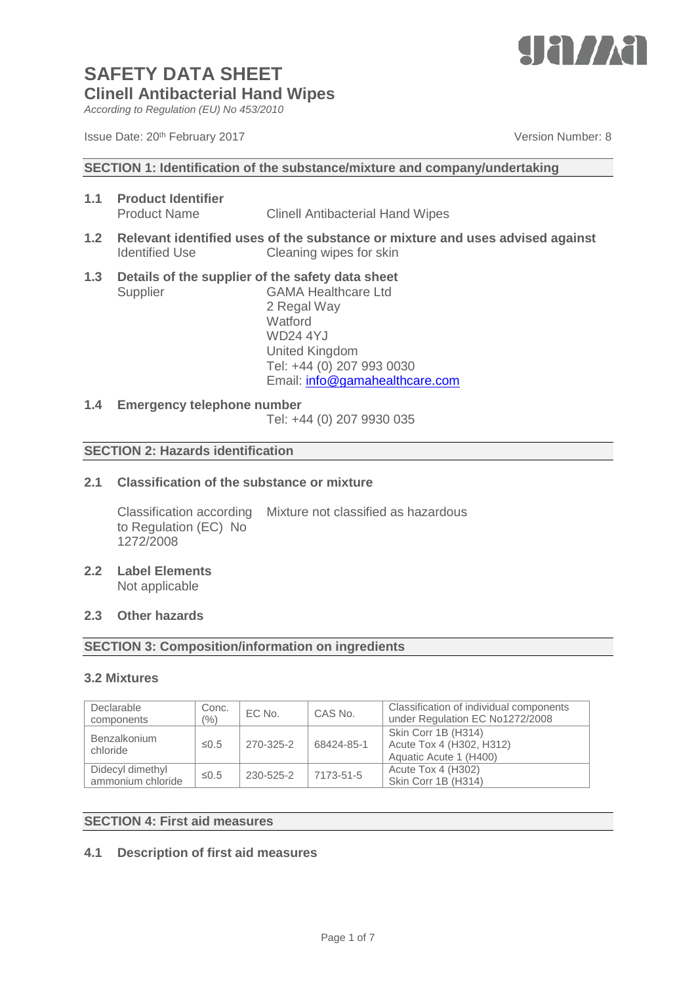

*According to Regulation (EU) No 453/2010*

#### **SECTION 1: Identification of the substance/mixture and company/undertaking**

- **1.1 Product Identifier** Product Name Clinell Antibacterial Hand Wipes
- **1.2 Relevant identified uses of the substance or mixture and uses advised against** Identified Use Cleaning wipes for skin
- **1.3 Details of the supplier of the safety data sheet** Supplier GAMA Healthcare Ltd 2 Regal Way

**Watford** WD24 4YJ United Kingdom Tel: +44 (0) 207 993 0030 Email: [info@gamahealthcare.com](mailto:info@gamahealthcare.com)

#### **1.4 Emergency telephone number**

Tel: +44 (0) 207 9930 035

#### **SECTION 2: Hazards identification**

### **2.1 Classification of the substance or mixture**

Classification according Mixture not classified as hazardous to Regulation (EC) No 1272/2008

**2.2 Label Elements** Not applicable

#### **2.3 Other hazards**

#### **SECTION 3: Composition/information on ingredients**

#### **3.2 Mixtures**

| Declarable<br>components              | Conc.<br>$(\% )$ | EC No.    | CAS No.    | Classification of individual components<br>under Regulation EC No1272/2008 |
|---------------------------------------|------------------|-----------|------------|----------------------------------------------------------------------------|
| Benzalkonium<br>chloride              | $\leq 0.5$       | 270-325-2 | 68424-85-1 | Skin Corr 1B (H314)<br>Acute Tox 4 (H302, H312)<br>Aquatic Acute 1 (H400)  |
| Didecyl dimethyl<br>ammonium chloride | $\leq 0.5$       | 230-525-2 | 7173-51-5  | Acute Tox 4 (H302)<br>Skin Corr 1B (H314)                                  |

#### **SECTION 4: First aid measures**

#### **4.1 Description of first aid measures**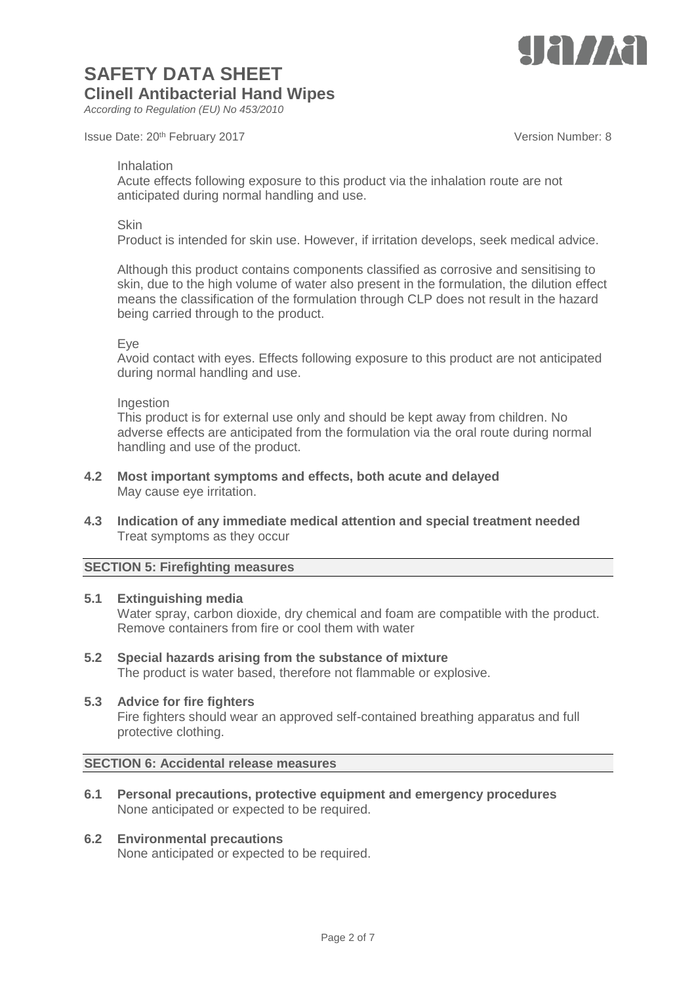

*According to Regulation (EU) No 453/2010*

Issue Date: 20<sup>th</sup> February 2017 **Version Number: 8** Number: 8

#### Inhalation

Acute effects following exposure to this product via the inhalation route are not anticipated during normal handling and use.

#### **Skin**

Product is intended for skin use. However, if irritation develops, seek medical advice.

Although this product contains components classified as corrosive and sensitising to skin, due to the high volume of water also present in the formulation, the dilution effect means the classification of the formulation through CLP does not result in the hazard being carried through to the product.

#### Eye

Avoid contact with eyes. Effects following exposure to this product are not anticipated during normal handling and use.

#### Ingestion

This product is for external use only and should be kept away from children. No adverse effects are anticipated from the formulation via the oral route during normal handling and use of the product.

- **4.2 Most important symptoms and effects, both acute and delayed** May cause eye irritation.
- **4.3 Indication of any immediate medical attention and special treatment needed** Treat symptoms as they occur

#### **SECTION 5: Firefighting measures**

#### **5.1 Extinguishing media**

Water spray, carbon dioxide, dry chemical and foam are compatible with the product. Remove containers from fire or cool them with water

### **5.2 Special hazards arising from the substance of mixture**

The product is water based, therefore not flammable or explosive.

#### **5.3 Advice for fire fighters**

Fire fighters should wear an approved self-contained breathing apparatus and full protective clothing.

### **SECTION 6: Accidental release measures**

**6.1 Personal precautions, protective equipment and emergency procedures** None anticipated or expected to be required.

## **6.2 Environmental precautions**

None anticipated or expected to be required.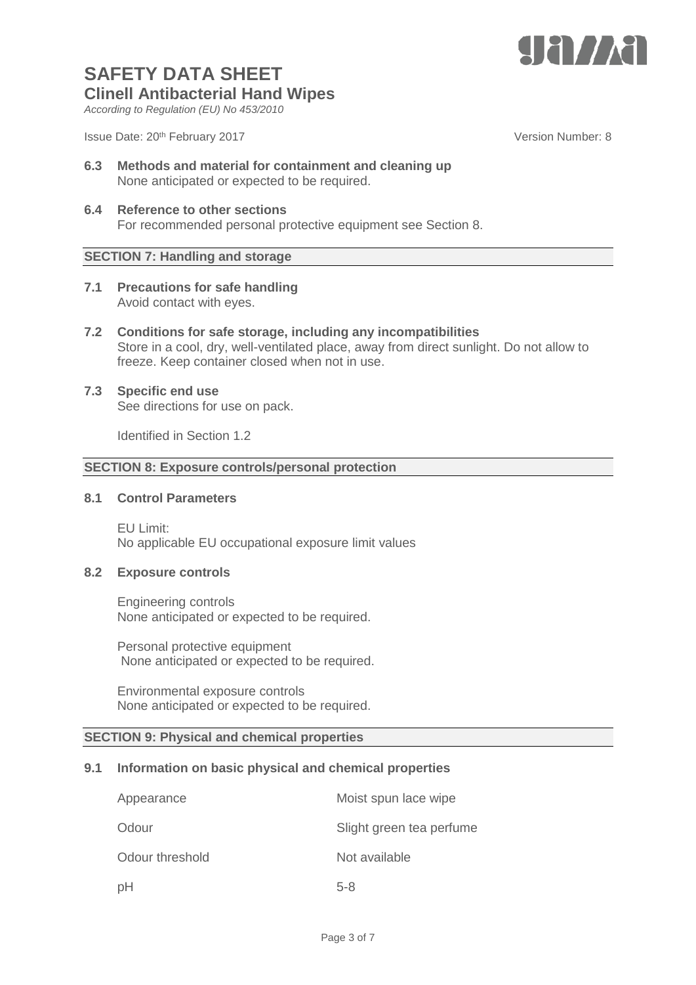

*According to Regulation (EU) No 453/2010*

Issue Date: 20<sup>th</sup> February 2017 **Version Number: 8** Number: 8

- **6.3 Methods and material for containment and cleaning up** None anticipated or expected to be required.
- **6.4 Reference to other sections** For recommended personal protective equipment see Section 8.

### **SECTION 7: Handling and storage**

- **7.1 Precautions for safe handling** Avoid contact with eyes.
- **7.2 Conditions for safe storage, including any incompatibilities** Store in a cool, dry, well-ventilated place, away from direct sunlight. Do not allow to freeze. Keep container closed when not in use.
- **7.3 Specific end use** See directions for use on pack.

Identified in Section 1.2

## **SECTION 8: Exposure controls/personal protection**

#### **8.1 Control Parameters**

EU Limit: No applicable EU occupational exposure limit values

#### **8.2 Exposure controls**

Engineering controls None anticipated or expected to be required.

Personal protective equipment None anticipated or expected to be required.

Environmental exposure controls None anticipated or expected to be required.

#### **SECTION 9: Physical and chemical properties**

#### **9.1 Information on basic physical and chemical properties**

| Appearance      | Moist spun lace wipe     |
|-----------------|--------------------------|
| Odour           | Slight green tea perfume |
| Odour threshold | Not available            |
| pH              | $5 - 8$                  |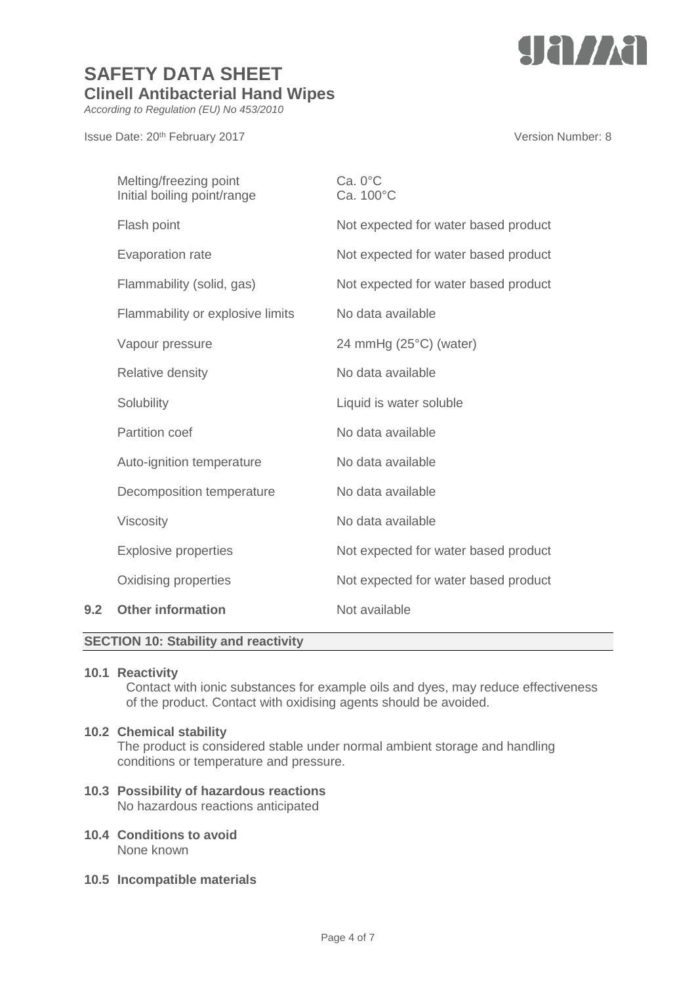

*According to Regulation (EU) No 453/2010*

Issue Date: 20<sup>th</sup> February 2017 **Version Number: 8** Version Number: 8

|     | Melting/freezing point<br>Initial boiling point/range | $Ca. 0^{\circ}C$<br>Ca. 100°C        |
|-----|-------------------------------------------------------|--------------------------------------|
|     | Flash point                                           | Not expected for water based product |
|     | <b>Evaporation rate</b>                               | Not expected for water based product |
|     | Flammability (solid, gas)                             | Not expected for water based product |
|     | Flammability or explosive limits                      | No data available                    |
|     | Vapour pressure                                       | 24 mmHg (25°C) (water)               |
|     | <b>Relative density</b>                               | No data available                    |
|     | Solubility                                            | Liquid is water soluble              |
|     | <b>Partition coef</b>                                 | No data available                    |
|     | Auto-ignition temperature                             | No data available                    |
|     | Decomposition temperature                             | No data available                    |
|     | <b>Viscosity</b>                                      | No data available                    |
|     | <b>Explosive properties</b>                           | Not expected for water based product |
|     | Oxidising properties                                  | Not expected for water based product |
| 9.2 | <b>Other information</b>                              | Not available                        |
|     |                                                       |                                      |

## **SECTION 10: Stability and reactivity**

### **10.1 Reactivity**

Contact with ionic substances for example oils and dyes, may reduce effectiveness of the product. Contact with oxidising agents should be avoided.

#### **10.2 Chemical stability**

The product is considered stable under normal ambient storage and handling conditions or temperature and pressure.

- **10.3 Possibility of hazardous reactions** No hazardous reactions anticipated
- **10.4 Conditions to avoid** None known
- **10.5 Incompatible materials**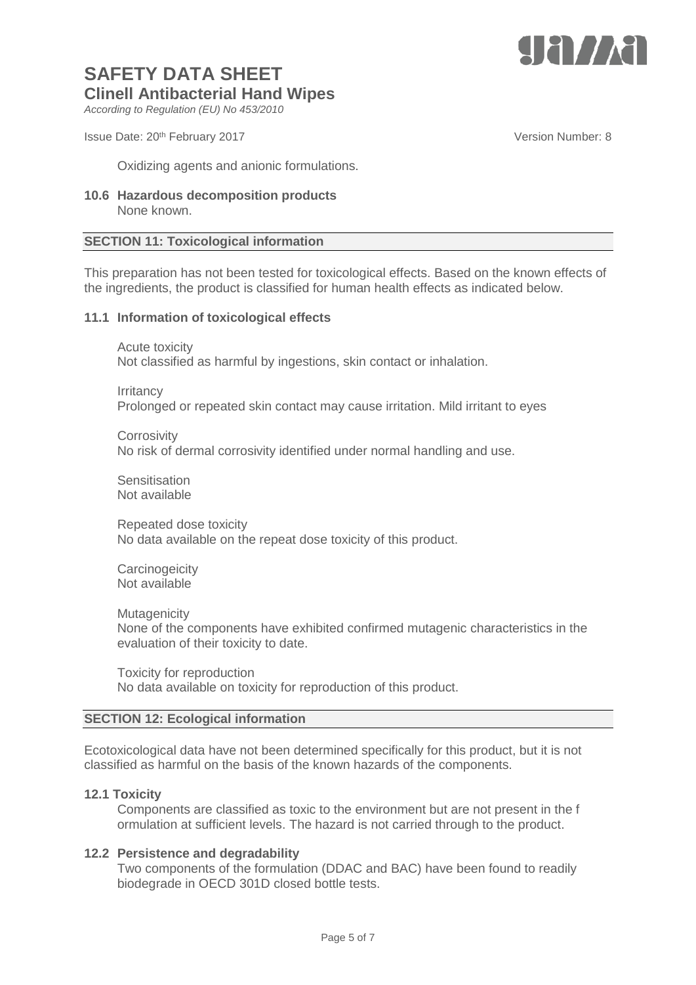

*According to Regulation (EU) No 453/2010*

Issue Date: 20<sup>th</sup> February 2017 **Version Number: 8** Number: 8

Oxidizing agents and anionic formulations.

**10.6 Hazardous decomposition products** None known.

#### **SECTION 11: Toxicological information**

This preparation has not been tested for toxicological effects. Based on the known effects of the ingredients, the product is classified for human health effects as indicated below.

#### **11.1 Information of toxicological effects**

Acute toxicity Not classified as harmful by ingestions, skin contact or inhalation.

**Irritancy** 

Prolonged or repeated skin contact may cause irritation. Mild irritant to eyes

**Corrosivity** No risk of dermal corrosivity identified under normal handling and use.

**Sensitisation** Not available

Repeated dose toxicity No data available on the repeat dose toxicity of this product.

**Carcinogeicity** Not available.

**Mutagenicity** 

None of the components have exhibited confirmed mutagenic characteristics in the evaluation of their toxicity to date.

Toxicity for reproduction No data available on toxicity for reproduction of this product.

#### **SECTION 12: Ecological information**

Ecotoxicological data have not been determined specifically for this product, but it is not classified as harmful on the basis of the known hazards of the components.

#### **12.1 Toxicity**

Components are classified as toxic to the environment but are not present in the f ormulation at sufficient levels. The hazard is not carried through to the product.

#### **12.2 Persistence and degradability**

Two components of the formulation (DDAC and BAC) have been found to readily biodegrade in OECD 301D closed bottle tests.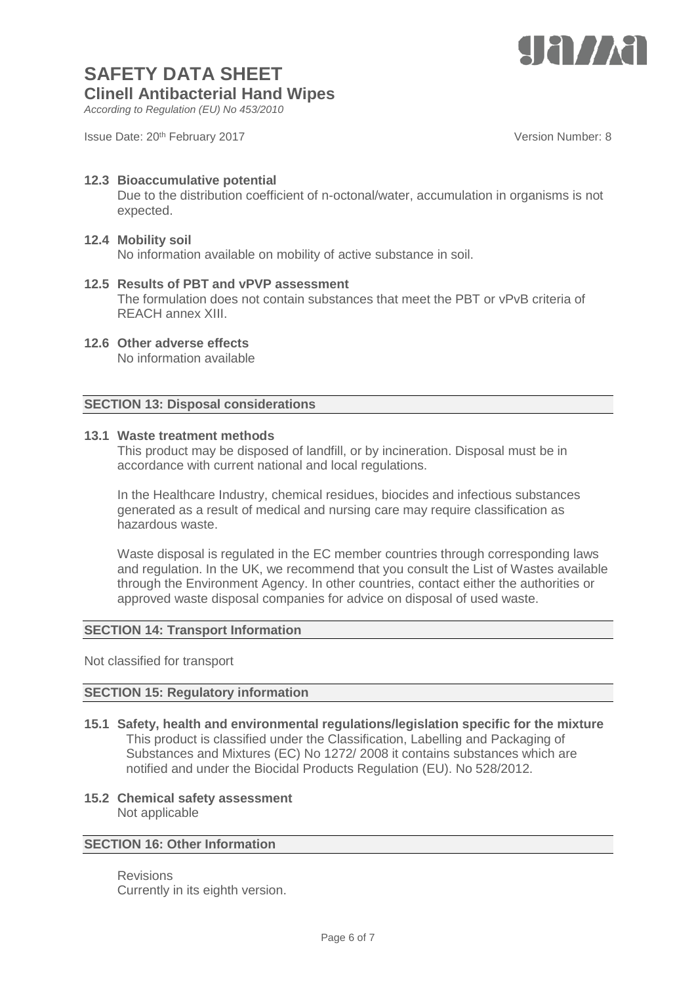

*According to Regulation (EU) No 453/2010*

Issue Date: 20<sup>th</sup> February 2017 **Version Number: 8** Number: 8

#### **12.3 Bioaccumulative potential** Due to the distribution coefficient of n-octonal/water, accumulation in organisms is not expected.

## **12.4 Mobility soil**

No information available on mobility of active substance in soil.

- **12.5 Results of PBT and vPVP assessment** The formulation does not contain substances that meet the PBT or vPvB criteria of REACH annex XIII.
- **12.6 Other adverse effects** No information available

### **SECTION 13: Disposal considerations**

#### **13.1 Waste treatment methods**

This product may be disposed of landfill, or by incineration. Disposal must be in accordance with current national and local regulations.

In the Healthcare Industry, chemical residues, biocides and infectious substances generated as a result of medical and nursing care may require classification as hazardous waste.

Waste disposal is regulated in the EC member countries through corresponding laws and regulation. In the UK, we recommend that you consult the List of Wastes available through the Environment Agency. In other countries, contact either the authorities or approved waste disposal companies for advice on disposal of used waste.

#### **SECTION 14: Transport Information**

Not classified for transport

#### **SECTION 15: Regulatory information**

- **15.1 Safety, health and environmental regulations/legislation specific for the mixture** This product is classified under the Classification, Labelling and Packaging of Substances and Mixtures (EC) No 1272/ 2008 it contains substances which are notified and under the Biocidal Products Regulation (EU). No 528/2012.
- **15.2 Chemical safety assessment** Not applicable

## **SECTION 16: Other Information**

Revisions Currently in its eighth version.